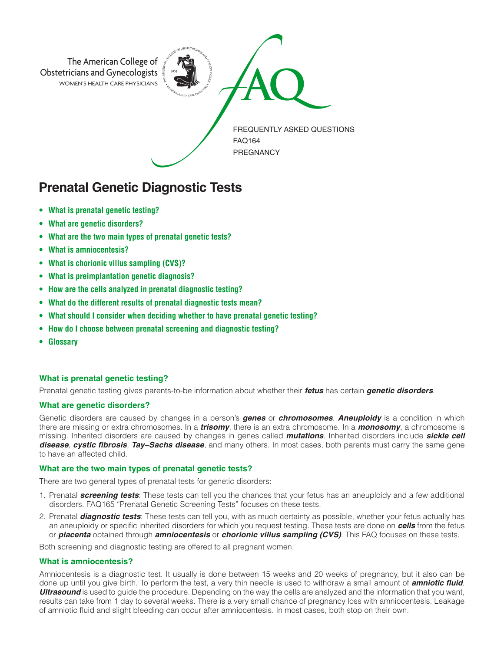

# **Prenatal Genetic Diagnostic Tests**

- **• What is prenatal genetic testing?**
- **• What are genetic disorders?**
- **• What are the two main types of prenatal genetic tests?**
- **• What is amniocentesis?**
- **• What is chorionic villus sampling (CVS)?**
- **• What is preimplantation genetic diagnosis?**
- **• How are the cells analyzed in prenatal diagnostic testing?**
- **• What do the different results of prenatal diagnostic tests mean?**
- **• What should I consider when deciding whether to have prenatal genetic testing?**
- **• How do I choose between prenatal screening and diagnostic testing?**
- **Glossary**

## **What is prenatal genetic testing?**

Prenatal genetic testing gives parents-to-be information about whether their *fetus* has certain *genetic disorders*.

## **What are genetic disorders?**

Genetic disorders are caused by changes in a person's *genes* or *chromosomes*. *Aneuploidy* is a condition in which there are missing or extra chromosomes. In a *trisomy*, there is an extra chromosome. In a *monosomy*, a chromosome is missing. Inherited disorders are caused by changes in genes called *mutations*. Inherited disorders include *sickle cell disease*, *cystic fibrosis*, *Tay–Sachs disease*, and many others. In most cases, both parents must carry the same gene to have an affected child.

## **What are the two main types of prenatal genetic tests?**

There are two general types of prenatal tests for genetic disorders:

- 1. Prenatal *screening tests*: These tests can tell you the chances that your fetus has an aneuploidy and a few additional disorders. FAQ165 "Prenatal Genetic Screening Tests" focuses on these tests.
- 2. Prenatal *diagnostic tests*: These tests can tell you, with as much certainty as possible, whether your fetus actually has an aneuploidy or specific inherited disorders for which you request testing. These tests are done on *cells* from the fetus or *placenta* obtained through *amniocentesis* or *chorionic villus sampling (CVS)*. This FAQ focuses on these tests.

Both screening and diagnostic testing are offered to all pregnant women.

## **What is amniocentesis?**

Amniocentesis is a diagnostic test. It usually is done between 15 weeks and 20 weeks of pregnancy, but it also can be done up until you give birth. To perform the test, a very thin needle is used to withdraw a small amount of *amniotic fluid*. *Ultrasound* is used to guide the procedure. Depending on the way the cells are analyzed and the information that you want, results can take from 1 day to several weeks. There is a very small chance of pregnancy loss with amniocentesis. Leakage of amniotic fluid and slight bleeding can occur after amniocentesis. In most cases, both stop on their own.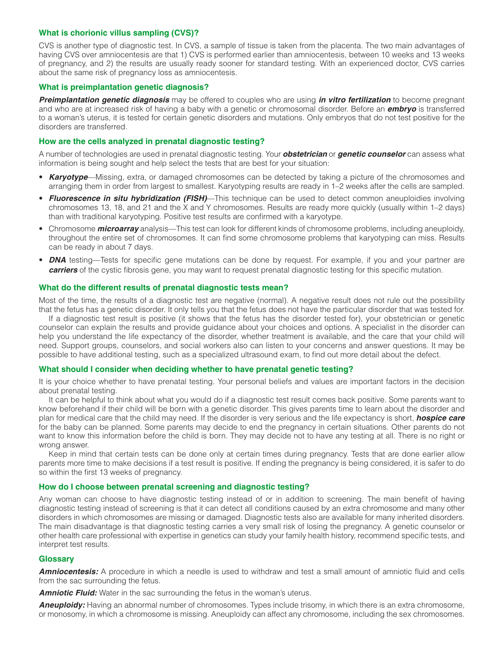## **What is chorionic villus sampling (CVS)?**

CVS is another type of diagnostic test. In CVS, a sample of tissue is taken from the placenta. The two main advantages of having CVS over amniocentesis are that 1) CVS is performed earlier than amniocentesis, between 10 weeks and 13 weeks of pregnancy, and 2) the results are usually ready sooner for standard testing. With an experienced doctor, CVS carries about the same risk of pregnancy loss as amniocentesis.

## **What is preimplantation genetic diagnosis?**

*Preimplantation genetic diagnosis* may be offered to couples who are using *in vitro fertilization* to become pregnant and who are at increased risk of having a baby with a genetic or chromosomal disorder. Before an *embryo* is transferred to a woman's uterus, it is tested for certain genetic disorders and mutations. Only embryos that do not test positive for the disorders are transferred.

## **How are the cells analyzed in prenatal diagnostic testing?**

A number of technologies are used in prenatal diagnostic testing. Your *obstetrician* or *genetic counselor* can assess what information is being sought and help select the tests that are best for your situation:

- *Karyotype*—Missing, extra, or damaged chromosomes can be detected by taking a picture of the chromosomes and arranging them in order from largest to smallest. Karyotyping results are ready in 1–2 weeks after the cells are sampled.
- *Fluorescence in situ hybridization (FISH)*—This technique can be used to detect common aneuploidies involving chromosomes 13, 18, and 21 and the X and Y chromosomes. Results are ready more quickly (usually within 1–2 days) than with traditional karyotyping. Positive test results are confirmed with a karyotype.
- Chromosome *microarray* analysis—This test can look for different kinds of chromosome problems, including aneuploidy, throughout the entire set of chromosomes. It can find some chromosome problems that karyotyping can miss. Results can be ready in about 7 days.
- **DNA** testing—Tests for specific gene mutations can be done by request. For example, if you and your partner are *carriers* of the cystic fibrosis gene, you may want to request prenatal diagnostic testing for this specific mutation.

## **What do the different results of prenatal diagnostic tests mean?**

Most of the time, the results of a diagnostic test are negative (normal). A negative result does not rule out the possibility that the fetus has a genetic disorder. It only tells you that the fetus does not have the particular disorder that was tested for.

If a diagnostic test result is positive (it shows that the fetus has the disorder tested for), your obstetrician or genetic counselor can explain the results and provide guidance about your choices and options. A specialist in the disorder can help you understand the life expectancy of the disorder, whether treatment is available, and the care that your child will need. Support groups, counselors, and social workers also can listen to your concerns and answer questions. It may be possible to have additional testing, such as a specialized ultrasound exam, to find out more detail about the defect.

## **What should I consider when deciding whether to have prenatal genetic testing?**

It is your choice whether to have prenatal testing. Your personal beliefs and values are important factors in the decision about prenatal testing.

It can be helpful to think about what you would do if a diagnostic test result comes back positive. Some parents want to know beforehand if their child will be born with a genetic disorder. This gives parents time to learn about the disorder and plan for medical care that the child may need. If the disorder is very serious and the life expectancy is short, *hospice care* for the baby can be planned. Some parents may decide to end the pregnancy in certain situations. Other parents do not want to know this information before the child is born. They may decide not to have any testing at all. There is no right or wrong answer.

Keep in mind that certain tests can be done only at certain times during pregnancy. Tests that are done earlier allow parents more time to make decisions if a test result is positive. If ending the pregnancy is being considered, it is safer to do so within the first 13 weeks of pregnancy.

## **How do I choose between prenatal screening and diagnostic testing?**

Any woman can choose to have diagnostic testing instead of or in addition to screening. The main benefit of having diagnostic testing instead of screening is that it can detect all conditions caused by an extra chromosome and many other disorders in which chromosomes are missing or damaged. Diagnostic tests also are available for many inherited disorders. The main disadvantage is that diagnostic testing carries a very small risk of losing the pregnancy. A genetic counselor or other health care professional with expertise in genetics can study your family health history, recommend specific tests, and interpret test results.

## **Glossary**

*Amniocentesis:* A procedure in which a needle is used to withdraw and test a small amount of amniotic fluid and cells from the sac surrounding the fetus.

**Amniotic Fluid:** Water in the sac surrounding the fetus in the woman's uterus.

**Aneuploidy:** Having an abnormal number of chromosomes. Types include trisomy, in which there is an extra chromosome, or monosomy, in which a chromosome is missing. Aneuploidy can affect any chromosome, including the sex chromosomes.